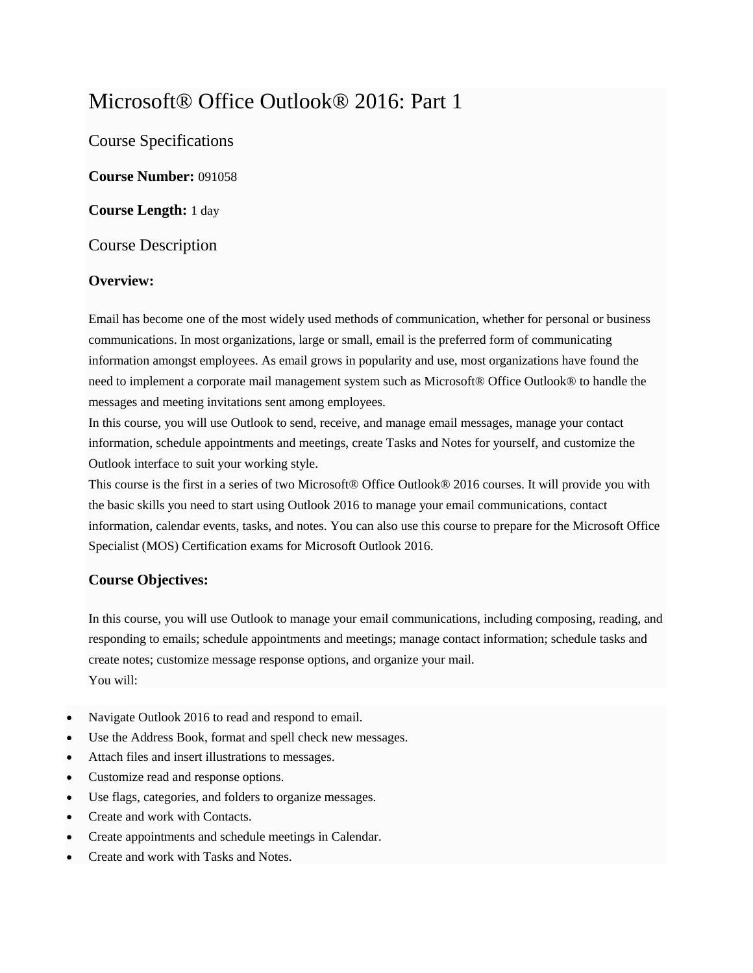# Microsoft® Office Outlook® 2016: Part 1

Course Specifications

**Course Number:** 091058

**Course Length:** 1 day

# Course Description

## **Overview:**

Email has become one of the most widely used methods of communication, whether for personal or business communications. In most organizations, large or small, email is the preferred form of communicating information amongst employees. As email grows in popularity and use, most organizations have found the need to implement a corporate mail management system such as Microsoft® Office Outlook® to handle the messages and meeting invitations sent among employees.

In this course, you will use Outlook to send, receive, and manage email messages, manage your contact information, schedule appointments and meetings, create Tasks and Notes for yourself, and customize the Outlook interface to suit your working style.

This course is the first in a series of two Microsoft® Office Outlook® 2016 courses. It will provide you with the basic skills you need to start using Outlook 2016 to manage your email communications, contact information, calendar events, tasks, and notes. You can also use this course to prepare for the Microsoft Office Specialist (MOS) Certification exams for Microsoft Outlook 2016.

# **Course Objectives:**

In this course, you will use Outlook to manage your email communications, including composing, reading, and responding to emails; schedule appointments and meetings; manage contact information; schedule tasks and create notes; customize message response options, and organize your mail. You will:

- Navigate Outlook 2016 to read and respond to email.
- Use the Address Book, format and spell check new messages.
- Attach files and insert illustrations to messages.
- Customize read and response options.
- Use flags, categories, and folders to organize messages.
- Create and work with Contacts.
- Create appointments and schedule meetings in Calendar.
- Create and work with Tasks and Notes.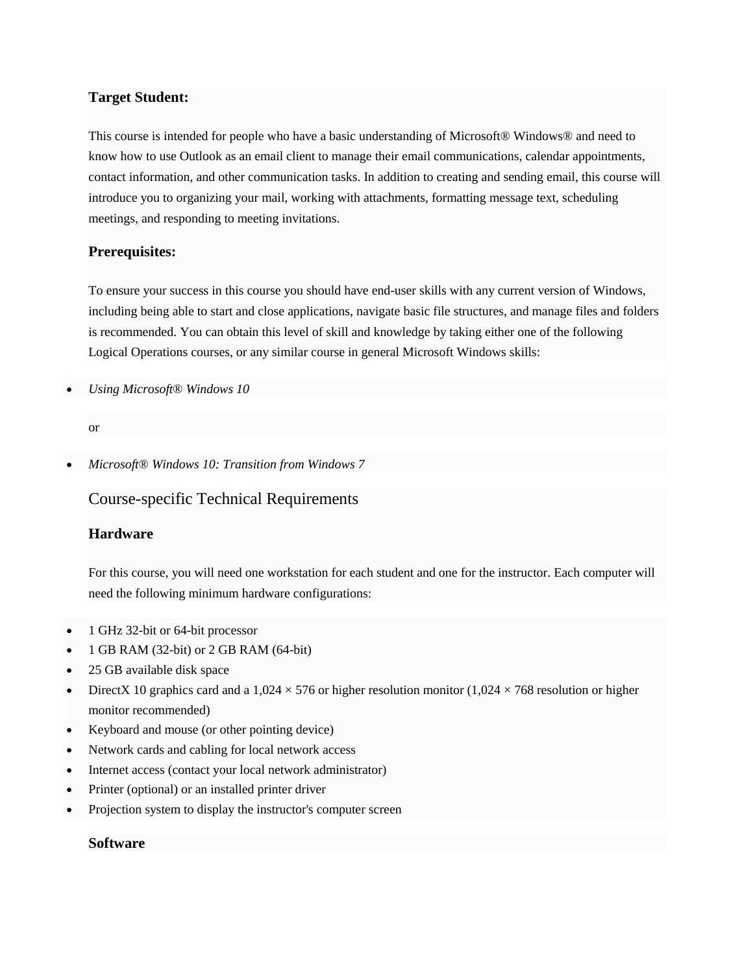#### **Target Student:**

This course is intended for people who have a basic understanding of Microsoft® Windows® and need to know how to use Outlook as an email client to manage their email communications, calendar appointments, contact information, and other communication tasks. In addition to creating and sending email, this course will introduce you to organizing your mail, working with attachments, formatting message text, scheduling meetings, and responding to meeting invitations.

## **Prerequisites:**

To ensure your success in this course you should have end-user skills with any current version of Windows, including being able to start and close applications, navigate basic file structures, and manage files and folders is recommended. You can obtain this level of skill and knowledge by taking either one of the following Logical Operations courses, or any similar course in general Microsoft Windows skills:

*Using Microsoft® Windows 10*

or

*Microsoft® Windows 10: Transition from Windows 7*

## Course-specific Technical Requirements

#### **Hardware**

For this course, you will need one workstation for each student and one for the instructor. Each computer will need the following minimum hardware configurations:

- 1 GHz 32-bit or 64-bit processor
- 1 GB RAM (32-bit) or 2 GB RAM (64-bit)
- 25 GB available disk space
- DirectX 10 graphics card and a 1,024  $\times$  576 or higher resolution monitor (1,024  $\times$  768 resolution or higher monitor recommended)
- Keyboard and mouse (or other pointing device)
- Network cards and cabling for local network access
- Internet access (contact your local network administrator)
- Printer (optional) or an installed printer driver
- Projection system to display the instructor's computer screen

#### **Software**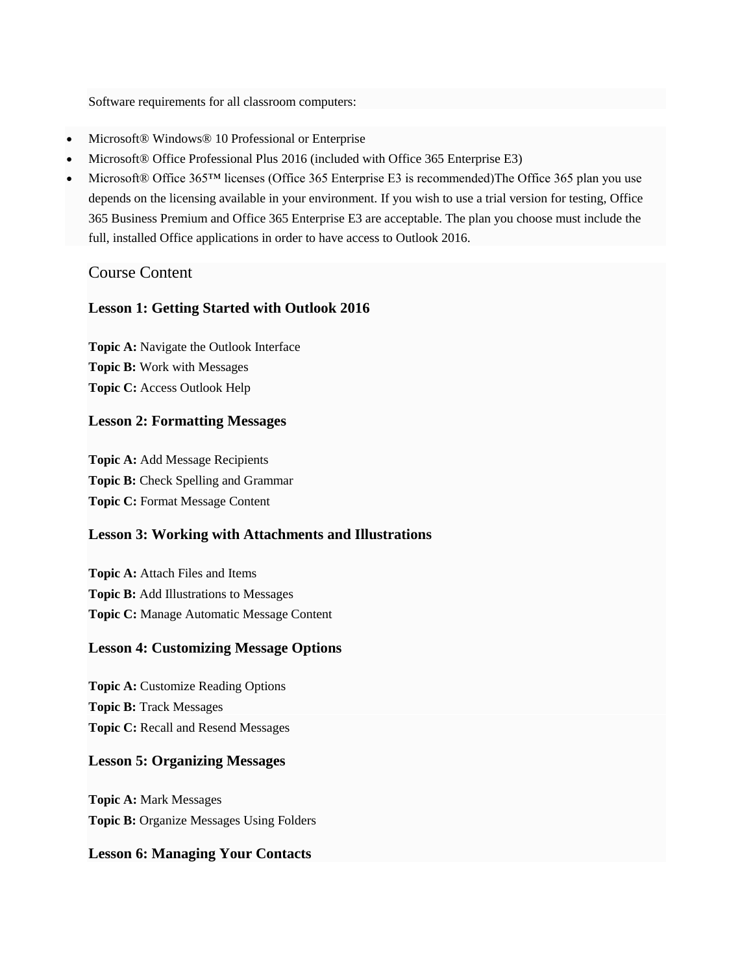Software requirements for all classroom computers:

- Microsoft® Windows® 10 Professional or Enterprise
- Microsoft® Office Professional Plus 2016 (included with Office 365 Enterprise E3)
- Microsoft® Office 365™ licenses (Office 365 Enterprise E3 is recommended)The Office 365 plan you use depends on the licensing available in your environment. If you wish to use a trial version for testing, Office 365 Business Premium and Office 365 Enterprise E3 are acceptable. The plan you choose must include the full, installed Office applications in order to have access to Outlook 2016.

## Course Content

#### **Lesson 1: Getting Started with Outlook 2016**

**Topic A:** Navigate the Outlook Interface **Topic B:** Work with Messages **Topic C:** Access Outlook Help

#### **Lesson 2: Formatting Messages**

**Topic A:** Add Message Recipients **Topic B:** Check Spelling and Grammar **Topic C:** Format Message Content

#### **Lesson 3: Working with Attachments and Illustrations**

**Topic A:** Attach Files and Items **Topic B:** Add Illustrations to Messages **Topic C:** Manage Automatic Message Content

#### **Lesson 4: Customizing Message Options**

**Topic A: Customize Reading Options Topic B:** Track Messages **Topic C:** Recall and Resend Messages

#### **Lesson 5: Organizing Messages**

**Topic A:** Mark Messages **Topic B:** Organize Messages Using Folders

#### **Lesson 6: Managing Your Contacts**